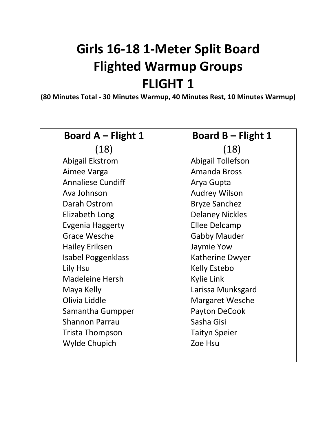# **Girls 16-18 1-Meter Split Board Flighted Warmup Groups FLIGHT 1**

**(80 Minutes Total - 30 Minutes Warmup, 40 Minutes Rest, 10 Minutes Warmup)**

| <b>Board A – Flight 1</b> |
|---------------------------|
| (18)                      |
| Abigail Ekstrom           |
| Aimee Varga               |
| <b>Annaliese Cundiff</b>  |
| Ava Johnson               |
| Darah Ostrom              |
| <b>Elizabeth Long</b>     |
| Evgenia Haggerty          |
| <b>Grace Wesche</b>       |
| Hailey Eriksen            |
| Isabel Poggenklass        |
| Lily Hsu                  |
| <b>Madeleine Hersh</b>    |
| Maya Kelly                |
| Olivia Liddle             |
| Samantha Gumpper          |
| <b>Shannon Parrau</b>     |
| Trista Thompson           |
| <b>Wylde Chupich</b>      |

#### **Board B – Flight 1** (18) Abigail Tollefson

Amanda Bross Arya Gupta Audrey Wilson Bryze Sanchez Delaney Nickles Ellee Delcamp Gabby Mauder Jaymie Yow Katherine Dwyer Kelly Estebo Kylie Link Larissa Munksgard Margaret Wesche Payton DeCook Sasha Gisi Taityn Speier Zoe Hsu